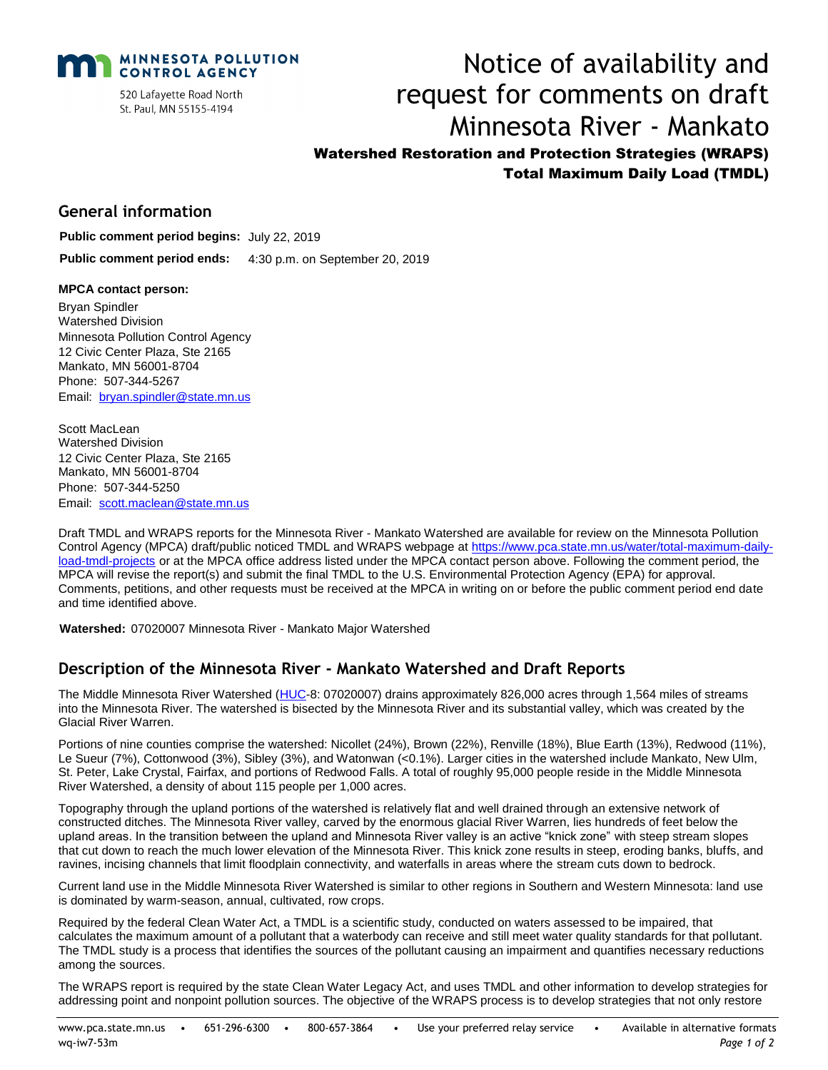

520 Lafayette Road North St. Paul, MN 55155-4194

# Notice of availability and request for comments on draft Minnesota River - Mankato Watershed Restoration and Protection Strategies (WRAPS) Total Maximum Daily Load (TMDL)

### **General information**

**Public comment period begins:** July 22, 2019

**Public comment period ends:** 4:30 p.m. on September 20, 2019

#### **MPCA contact person:**

Bryan Spindler Watershed Division Minnesota Pollution Control Agency 12 Civic Center Plaza, Ste 2165 Mankato, MN 56001-8704 Phone: 507-344-5267 Email: [bryan.spindler@state.mn.us](mailto:bryan.spindler@state.mn.us)

Scott MacLean Watershed Division 12 Civic Center Plaza, Ste 2165 Mankato, MN 56001-8704 Phone: 507-344-5250 Email: scott.maclean@state.mn.us

Draft TMDL and WRAPS reports for the Minnesota River - Mankato Watershed are available for review on the Minnesota Pollution Control Agency (MPCA) draft/public noticed TMDL and WRAPS webpage at [https://www.pca.state.mn.us/water/total-maximum-daily](https://www.pca.state.mn.us/water/total-maximum-daily-load-tmdl-projects)[load-tmdl-projects](https://www.pca.state.mn.us/water/total-maximum-daily-load-tmdl-projects) or at the MPCA office address listed under the MPCA contact person above. Following the comment period, the MPCA will revise the report(s) and submit the final TMDL to the U.S. Environmental Protection Agency (EPA) for approval. Comments, petitions, and other requests must be received at the MPCA in writing on or before the public comment period end date and time identified above.

**Watershed:** 07020007 Minnesota River - Mankato Major Watershed

# **Description of the Minnesota River - Mankato Watershed and Draft Reports**

The Middle Minnesota River Watershed [\(HUC-](http://water.usgs.gov/GIS/huc.html)8: 07020007) drains approximately 826,000 acres through 1,564 miles of streams into the Minnesota River. The watershed is bisected by the Minnesota River and its substantial valley, which was created by the Glacial River Warren.

Portions of nine counties comprise the watershed: Nicollet (24%), Brown (22%), Renville (18%), Blue Earth (13%), Redwood (11%), Le Sueur (7%), Cottonwood (3%), Sibley (3%), and Watonwan (<0.1%). Larger cities in the watershed include Mankato, New Ulm, St. Peter, Lake Crystal, Fairfax, and portions of Redwood Falls. A total of roughly 95,000 people reside in the Middle Minnesota River Watershed, a density of about 115 people per 1,000 acres.

Topography through the upland portions of the watershed is relatively flat and well drained through an extensive network of constructed ditches. The Minnesota River valley, carved by the enormous glacial River Warren, lies hundreds of feet below the upland areas. In the transition between the upland and Minnesota River valley is an active "knick zone" with steep stream slopes that cut down to reach the much lower elevation of the Minnesota River. This knick zone results in steep, eroding banks, bluffs, and ravines, incising channels that limit floodplain connectivity, and waterfalls in areas where the stream cuts down to bedrock.

Current land use in the Middle Minnesota River Watershed is similar to other regions in Southern and Western Minnesota: land use is dominated by warm-season, annual, cultivated, row crops.

Required by the federal Clean Water Act, a TMDL is a scientific study, conducted on waters assessed to be impaired, that calculates the maximum amount of a pollutant that a waterbody can receive and still meet water quality standards for that pollutant. The TMDL study is a process that identifies the sources of the pollutant causing an impairment and quantifies necessary reductions among the sources.

The WRAPS report is required by the state Clean Water Legacy Act, and uses TMDL and other information to develop strategies for addressing point and nonpoint pollution sources. The objective of the WRAPS process is to develop strategies that not only restore